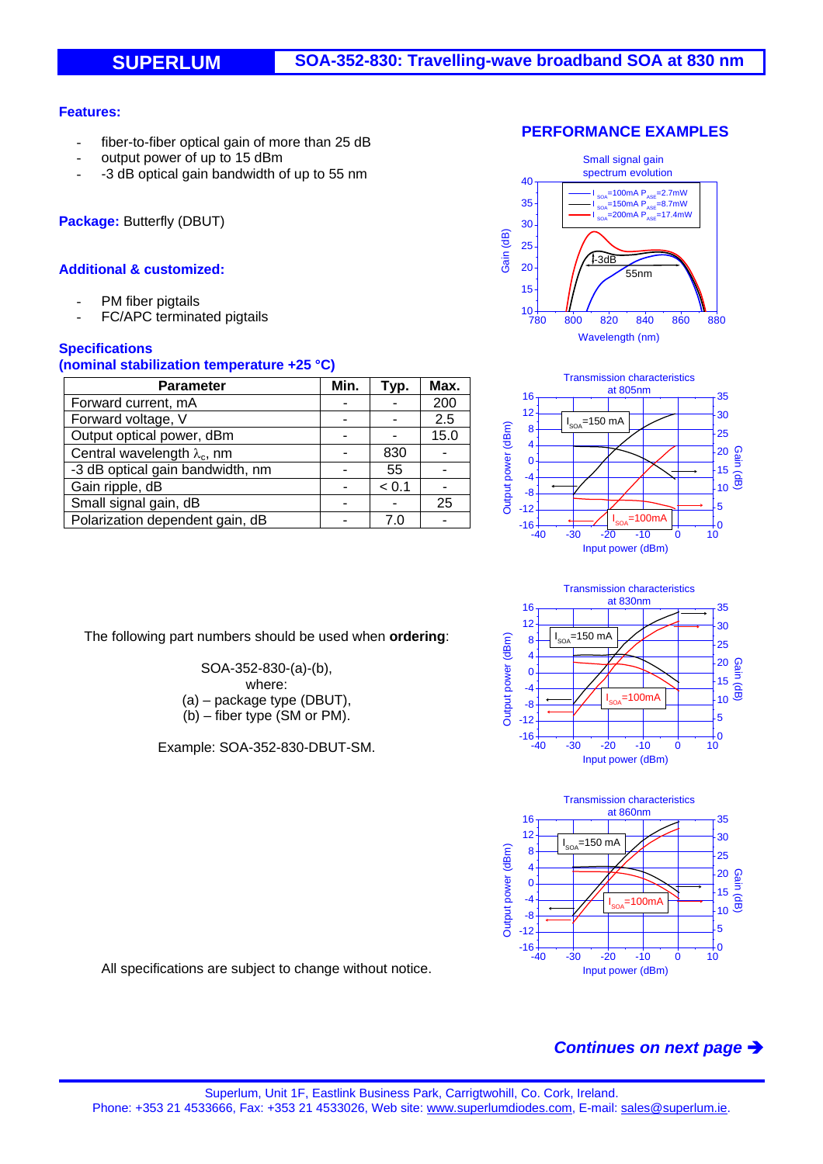### **Features:**

- fiber-to-fiber optical gain of more than 25 dB
- output power of up to 15 dBm
- -3 dB optical gain bandwidth of up to 55 nm

**Package:** Butterfly (DBUT)

### **Additional & customized:**

- PM fiber pigtails
- FC/APC terminated pigtails

### **Specifications**

### **(nominal stabilization temperature +25 °C)**

| <b>Parameter</b>                    | Min. | Typ.  | Max. |
|-------------------------------------|------|-------|------|
| Forward current, mA                 |      |       | 200  |
| Forward voltage, V                  |      |       | 2.5  |
| Output optical power, dBm           |      |       | 15.0 |
| Central wavelength $\lambda_c$ , nm |      | 830   |      |
| -3 dB optical gain bandwidth, nm    |      | 55    |      |
| Gain ripple, dB                     |      | < 0.1 |      |
| Small signal gain, dB               |      |       | 25   |
| Polarization dependent gain, dB     |      |       |      |









The following part numbers should be used when **ordering**:

SOA-352-830-(a)-(b), where: (a) – package type (DBUT), (b) – fiber type (SM or PM).

Example: SOA-352-830-DBUT-SM.

All specifications are subject to change without notice.

# *Continues on next page*

## **PERFORMANCE EXAMPLES**